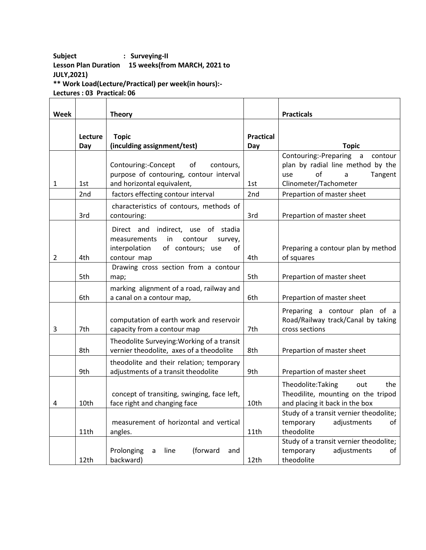## **Subject : Surveying-II Lesson Plan Duration 15 weeks(from MARCH, 2021 to JULY,2021)**

**\*\* Work Load(Lecture/Practical) per week(in hours):-**

**Lectures : 03 Practical: 06**

| Week           |                 | <b>Theory</b>                                         |                  | <b>Practicals</b>                      |
|----------------|-----------------|-------------------------------------------------------|------------------|----------------------------------------|
|                |                 |                                                       |                  |                                        |
|                | Lecture         | <b>Topic</b>                                          | <b>Practical</b> |                                        |
|                | Day             | (inculding assignment/test)                           | Day              | <b>Topic</b>                           |
|                |                 |                                                       |                  | Contouring:-Preparing a<br>contour     |
|                |                 | Contouring:-Concept<br>of<br>contours,                |                  | plan by radial line method by the      |
|                |                 | purpose of contouring, contour interval               |                  | of<br>Tangent<br>$\mathsf{a}$<br>use   |
| 1              | 1st             | and horizontal equivalent,                            | 1st              | Clinometer/Tachometer                  |
|                | 2 <sub>nd</sub> | factors effecting contour interval                    | 2nd              | Prepartion of master sheet             |
|                |                 | characteristics of contours, methods of               |                  |                                        |
|                | 3rd             | contouring:                                           | 3rd              | Prepartion of master sheet             |
|                |                 | Direct and indirect, use of stadia                    |                  |                                        |
|                |                 | in<br>contour<br>measurements<br>survey,              |                  |                                        |
|                |                 | interpolation<br>of contours; use<br>of               |                  | Preparing a contour plan by method     |
| $\overline{2}$ | 4th             | contour map                                           | 4th              | of squares                             |
|                |                 | Drawing cross section from a contour                  |                  |                                        |
|                | 5th             | map;                                                  | 5th              | Prepartion of master sheet             |
|                |                 | marking alignment of a road, railway and              |                  |                                        |
|                | 6th             | a canal on a contour map,                             | 6th              | Prepartion of master sheet             |
|                |                 |                                                       |                  | Preparing a contour plan of a          |
|                |                 | computation of earth work and reservoir               |                  | Road/Railway track/Canal by taking     |
| 3              | 7th             | capacity from a contour map                           | 7th              | cross sections                         |
|                |                 | Theodolite Surveying: Working of a transit            |                  |                                        |
|                | 8th             | vernier theodolite, axes of a theodolite              | 8th              | Prepartion of master sheet             |
|                |                 | theodolite and their relation; temporary              |                  |                                        |
|                | 9th             | adjustments of a transit theodolite                   | 9th              | Prepartion of master sheet             |
|                |                 |                                                       |                  | Theodolite: Taking<br>the<br>out       |
|                |                 | concept of transiting, swinging, face left,           |                  | Theodilite, mounting on the tripod     |
| 4              | 10th            | face right and changing face                          | 10th             | and placing it back in the box         |
|                |                 |                                                       |                  | Study of a transit vernier theodolite; |
|                |                 | measurement of horizontal and vertical                |                  | temporary<br>adjustments<br>of         |
|                | 11th            | angles.                                               | 11th             | theodolite                             |
|                |                 |                                                       |                  | Study of a transit vernier theodolite; |
|                |                 | (forward<br>Prolonging<br>line<br>and<br>$\mathsf{a}$ |                  | temporary<br>adjustments<br>of         |
|                | 12th            | backward)                                             | 12th             | theodolite                             |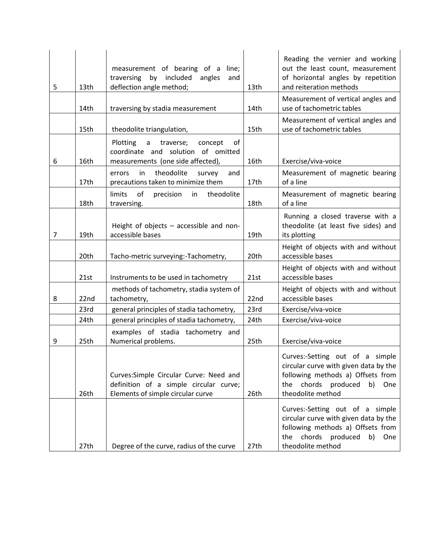| 5              | 13th | measurement of bearing of a line;<br>by included<br>traversing<br>angles<br>and<br>deflection angle method;            | 13th | Reading the vernier and working<br>out the least count, measurement<br>of horizontal angles by repetition<br>and reiteration methods                                         |
|----------------|------|------------------------------------------------------------------------------------------------------------------------|------|------------------------------------------------------------------------------------------------------------------------------------------------------------------------------|
|                | 14th | traversing by stadia measurement                                                                                       | 14th | Measurement of vertical angles and<br>use of tachometric tables                                                                                                              |
|                | 15th | theodolite triangulation,                                                                                              | 15th | Measurement of vertical angles and<br>use of tachometric tables                                                                                                              |
| 6              | 16th | Plotting<br>of<br>a<br>traverse;<br>concept<br>coordinate and solution of omitted<br>measurements (one side affected), | 16th | Exercise/viva-voice                                                                                                                                                          |
|                | 17th | theodolite<br>survey<br>in<br>and<br>errors<br>precautions taken to minimize them                                      | 17th | Measurement of magnetic bearing<br>of a line                                                                                                                                 |
|                | 18th | limits<br>of<br>precision<br>theodolite<br>in<br>traversing.                                                           | 18th | Measurement of magnetic bearing<br>of a line                                                                                                                                 |
| $\overline{7}$ | 19th | Height of objects - accessible and non-<br>accessible bases                                                            | 19th | Running a closed traverse with a<br>theodolite (at least five sides) and<br>its plotting                                                                                     |
|                | 20th | Tacho-metric surveying:-Tachometry,                                                                                    | 20th | Height of objects with and without<br>accessible bases                                                                                                                       |
|                | 21st | Instruments to be used in tachometry                                                                                   | 21st | Height of objects with and without<br>accessible bases                                                                                                                       |
| 8              | 22nd | methods of tachometry, stadia system of<br>tachometry,                                                                 | 22nd | Height of objects with and without<br>accessible bases                                                                                                                       |
|                | 23rd | general principles of stadia tachometry,                                                                               | 23rd | Exercise/viva-voice                                                                                                                                                          |
|                | 24th | general principles of stadia tachometry,                                                                               | 24th | Exercise/viva-voice                                                                                                                                                          |
| 9              | 25th | examples of stadia tachometry and<br>Numerical problems.                                                               | 25th | Exercise/viva-voice                                                                                                                                                          |
|                | 26th | Curves: Simple Circular Curve: Need and<br>definition of a simple circular curve;<br>Elements of simple circular curve | 26th | Curves:-Setting out of a simple<br>circular curve with given data by the<br>following methods a) Offsets from<br>chords<br>produced<br>b)<br>the<br>One<br>theodolite method |
|                | 27th | Degree of the curve, radius of the curve                                                                               | 27th | Curves:-Setting out of a simple<br>circular curve with given data by the<br>following methods a) Offsets from<br>chords<br>produced<br>b)<br>the<br>One<br>theodolite method |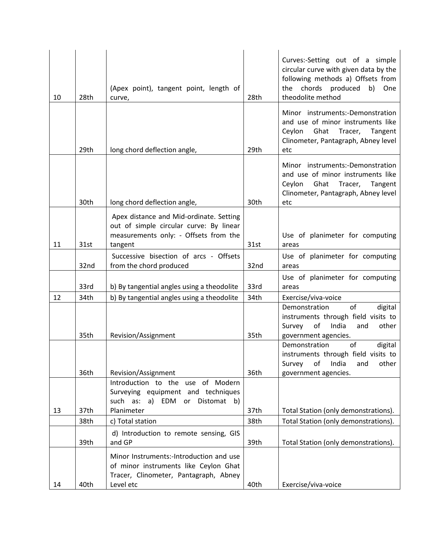| 10 | 28th | (Apex point), tangent point, length of<br>curve,                                                                                       | 28th | Curves:-Setting out of a simple<br>circular curve with given data by the<br>following methods a) Offsets from<br>the chords produced b) One<br>theodolite method |
|----|------|----------------------------------------------------------------------------------------------------------------------------------------|------|------------------------------------------------------------------------------------------------------------------------------------------------------------------|
|    | 29th | long chord deflection angle,                                                                                                           | 29th | Minor instruments:-Demonstration<br>and use of minor instruments like<br>Ceylon<br>Ghat Tracer, Tangent<br>Clinometer, Pantagraph, Abney level<br>etc            |
|    | 30th | long chord deflection angle,                                                                                                           | 30th | Minor instruments:-Demonstration<br>and use of minor instruments like<br>Ceylon Ghat Tracer, Tangent<br>Clinometer, Pantagraph, Abney level<br>etc               |
| 11 | 31st | Apex distance and Mid-ordinate. Setting<br>out of simple circular curve: By linear<br>measurements only: - Offsets from the<br>tangent | 31st | Use of planimeter for computing<br>areas                                                                                                                         |
|    | 32nd | Successive bisection of arcs - Offsets<br>from the chord produced                                                                      | 32nd | Use of planimeter for computing<br>areas                                                                                                                         |
|    | 33rd | b) By tangential angles using a theodolite                                                                                             | 33rd | Use of planimeter for computing<br>areas                                                                                                                         |
| 12 | 34th | b) By tangential angles using a theodolite                                                                                             | 34th | Exercise/viva-voice                                                                                                                                              |
|    | 35th | Revision/Assignment                                                                                                                    | 35th | of<br>digital<br>Demonstration<br>instruments through field visits to<br>Survey<br>of India<br>and<br>other<br>government agencies.                              |
|    | 36th | Revision/Assignment                                                                                                                    | 36th | of<br>Demonstration<br>digital<br>instruments through field visits to<br>Survey of India and<br>other<br>government agencies.                                    |
|    |      | Introduction to the use of Modern<br>Surveying equipment and techniques<br>such as:<br>a) EDM or Distomat b)                           |      |                                                                                                                                                                  |
| 13 | 37th | Planimeter                                                                                                                             | 37th | Total Station (only demonstrations).                                                                                                                             |
|    | 38th | c) Total station                                                                                                                       | 38th | Total Station (only demonstrations).                                                                                                                             |
|    | 39th | d) Introduction to remote sensing, GIS<br>and GP                                                                                       | 39th | Total Station (only demonstrations).                                                                                                                             |
| 14 | 40th | Minor Instruments:-Introduction and use<br>of minor instruments like Ceylon Ghat<br>Tracer, Clinometer, Pantagraph, Abney<br>Level etc | 40th | Exercise/viva-voice                                                                                                                                              |